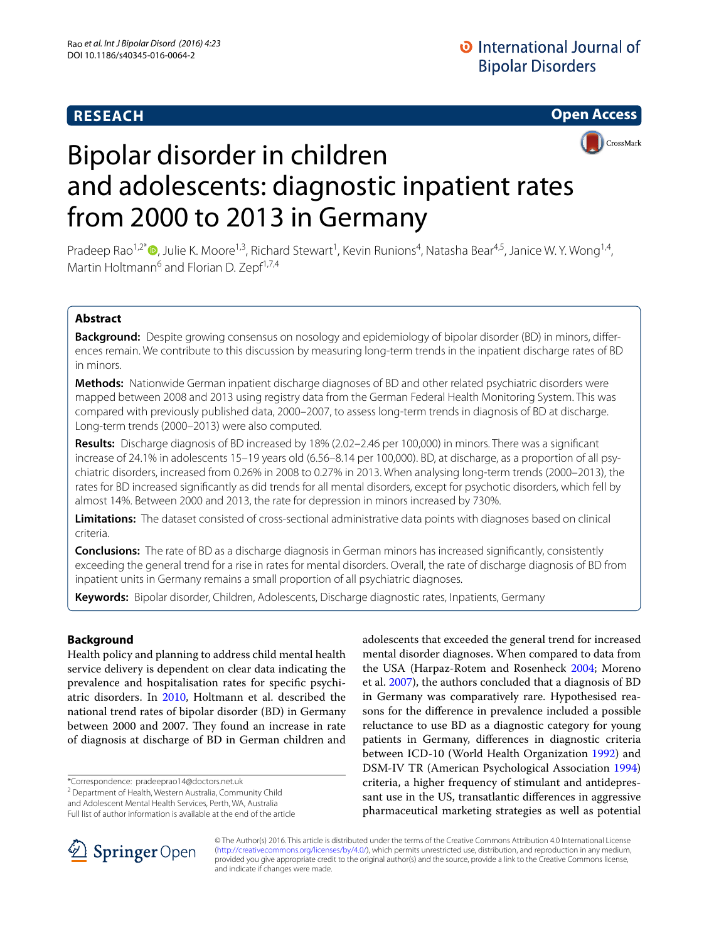# **RESEACH**





# Bipolar disorder in children and adolescents: diagnostic inpatient rates from 2000 to 2013 in Germany

Pradeep Rao<sup>1[,](http://orcid.org/0000-0002-5637-7769)2\*</sup> <sup>(1</sup>), Julie K. Moore<sup>1,3</sup>, Richard Stewart<sup>1</sup>, Kevin Runions<sup>4</sup>, Natasha Bear<sup>4,5</sup>, Janice W. Y. Wong<sup>1,4</sup>, Martin Holtmann<sup>6</sup> and Florian D. Zepf<sup>1,7,4</sup>

## **Abstract**

**Background:** Despite growing consensus on nosology and epidemiology of bipolar disorder (BD) in minors, differences remain. We contribute to this discussion by measuring long-term trends in the inpatient discharge rates of BD in minors.

**Methods:** Nationwide German inpatient discharge diagnoses of BD and other related psychiatric disorders were mapped between 2008 and 2013 using registry data from the German Federal Health Monitoring System. This was compared with previously published data, 2000–2007, to assess long-term trends in diagnosis of BD at discharge. Long-term trends (2000–2013) were also computed.

**Results:** Discharge diagnosis of BD increased by 18% (2.02–2.46 per 100,000) in minors. There was a significant increase of 24.1% in adolescents 15–19 years old (6.56–8.14 per 100,000). BD, at discharge, as a proportion of all psychiatric disorders, increased from 0.26% in 2008 to 0.27% in 2013. When analysing long-term trends (2000–2013), the rates for BD increased significantly as did trends for all mental disorders, except for psychotic disorders, which fell by almost 14%. Between 2000 and 2013, the rate for depression in minors increased by 730%.

**Limitations:** The dataset consisted of cross-sectional administrative data points with diagnoses based on clinical criteria.

**Conclusions:** The rate of BD as a discharge diagnosis in German minors has increased significantly, consistently exceeding the general trend for a rise in rates for mental disorders. Overall, the rate of discharge diagnosis of BD from inpatient units in Germany remains a small proportion of all psychiatric diagnoses.

**Keywords:** Bipolar disorder, Children, Adolescents, Discharge diagnostic rates, Inpatients, Germany

## **Background**

Health policy and planning to address child mental health service delivery is dependent on clear data indicating the prevalence and hospitalisation rates for specific psychiatric disorders. In [2010](#page-8-0), Holtmann et al. described the national trend rates of bipolar disorder (BD) in Germany between 2000 and 2007. They found an increase in rate of diagnosis at discharge of BD in German children and

\*Correspondence: pradeeprao14@doctors.net.uk

<sup>2</sup> Department of Health, Western Australia, Community Child

and Adolescent Mental Health Services, Perth, WA, Australia Full list of author information is available at the end of the article

mental disorder diagnoses. When compared to data from the USA (Harpaz-Rotem and Rosenheck [2004](#page-8-1); Moreno et al. [2007](#page-8-2)), the authors concluded that a diagnosis of BD in Germany was comparatively rare. Hypothesised reasons for the difference in prevalence included a possible reluctance to use BD as a diagnostic category for young patients in Germany, differences in diagnostic criteria between ICD-10 (World Health Organization [1992\)](#page-9-0) and DSM-IV TR (American Psychological Association [1994](#page-8-3)) criteria, a higher frequency of stimulant and antidepressant use in the US, transatlantic differences in aggressive pharmaceutical marketing strategies as well as potential

adolescents that exceeded the general trend for increased



© The Author(s) 2016. This article is distributed under the terms of the Creative Commons Attribution 4.0 International License [\(http://creativecommons.org/licenses/by/4.0/\)](http://creativecommons.org/licenses/by/4.0/), which permits unrestricted use, distribution, and reproduction in any medium, provided you give appropriate credit to the original author(s) and the source, provide a link to the Creative Commons license, and indicate if changes were made.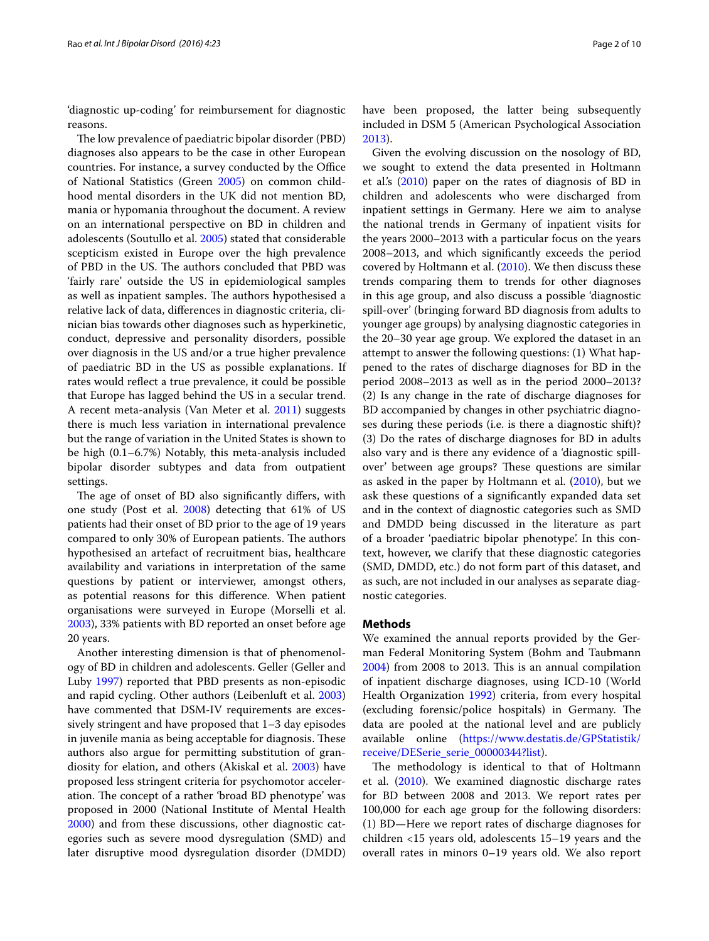'diagnostic up-coding' for reimbursement for diagnostic reasons.

The low prevalence of paediatric bipolar disorder (PBD) diagnoses also appears to be the case in other European countries. For instance, a survey conducted by the Office of National Statistics (Green [2005\)](#page-8-4) on common childhood mental disorders in the UK did not mention BD, mania or hypomania throughout the document. A review on an international perspective on BD in children and adolescents (Soutullo et al. [2005\)](#page-9-1) stated that considerable scepticism existed in Europe over the high prevalence of PBD in the US. The authors concluded that PBD was 'fairly rare' outside the US in epidemiological samples as well as inpatient samples. The authors hypothesised a relative lack of data, differences in diagnostic criteria, clinician bias towards other diagnoses such as hyperkinetic, conduct, depressive and personality disorders, possible over diagnosis in the US and/or a true higher prevalence of paediatric BD in the US as possible explanations. If rates would reflect a true prevalence, it could be possible that Europe has lagged behind the US in a secular trend. A recent meta-analysis (Van Meter et al. [2011\)](#page-9-2) suggests there is much less variation in international prevalence but the range of variation in the United States is shown to be high (0.1–6.7%) Notably, this meta-analysis included bipolar disorder subtypes and data from outpatient settings.

The age of onset of BD also significantly differs, with one study (Post et al. [2008\)](#page-8-5) detecting that 61% of US patients had their onset of BD prior to the age of 19 years compared to only 30% of European patients. The authors hypothesised an artefact of recruitment bias, healthcare availability and variations in interpretation of the same questions by patient or interviewer, amongst others, as potential reasons for this difference. When patient organisations were surveyed in Europe (Morselli et al. [2003](#page-8-6)), 33% patients with BD reported an onset before age 20 years.

Another interesting dimension is that of phenomenology of BD in children and adolescents. Geller (Geller and Luby [1997](#page-8-7)) reported that PBD presents as non-episodic and rapid cycling. Other authors (Leibenluft et al. [2003](#page-8-8)) have commented that DSM-IV requirements are excessively stringent and have proposed that 1–3 day episodes in juvenile mania as being acceptable for diagnosis. These authors also argue for permitting substitution of grandiosity for elation, and others (Akiskal et al. [2003](#page-8-9)) have proposed less stringent criteria for psychomotor acceleration. The concept of a rather 'broad BD phenotype' was proposed in 2000 (National Institute of Mental Health [2000](#page-8-10)) and from these discussions, other diagnostic categories such as severe mood dysregulation (SMD) and later disruptive mood dysregulation disorder (DMDD)

have been proposed, the latter being subsequently included in DSM 5 (American Psychological Association [2013](#page-8-11)).

Given the evolving discussion on the nosology of BD, we sought to extend the data presented in Holtmann et al.'s ([2010](#page-8-0)) paper on the rates of diagnosis of BD in children and adolescents who were discharged from inpatient settings in Germany. Here we aim to analyse the national trends in Germany of inpatient visits for the years 2000–2013 with a particular focus on the years 2008–2013, and which significantly exceeds the period covered by Holtmann et al. ([2010\)](#page-8-0). We then discuss these trends comparing them to trends for other diagnoses in this age group, and also discuss a possible 'diagnostic spill-over' (bringing forward BD diagnosis from adults to younger age groups) by analysing diagnostic categories in the 20–30 year age group. We explored the dataset in an attempt to answer the following questions: (1) What happened to the rates of discharge diagnoses for BD in the period 2008–2013 as well as in the period 2000–2013? (2) Is any change in the rate of discharge diagnoses for BD accompanied by changes in other psychiatric diagnoses during these periods (i.e. is there a diagnostic shift)? (3) Do the rates of discharge diagnoses for BD in adults also vary and is there any evidence of a 'diagnostic spillover' between age groups? These questions are similar as asked in the paper by Holtmann et al. ([2010\)](#page-8-0), but we ask these questions of a significantly expanded data set and in the context of diagnostic categories such as SMD and DMDD being discussed in the literature as part of a broader 'paediatric bipolar phenotype'. In this context, however, we clarify that these diagnostic categories (SMD, DMDD, etc.) do not form part of this dataset, and as such, are not included in our analyses as separate diagnostic categories.

## **Methods**

We examined the annual reports provided by the German Federal Monitoring System (Bohm and Taubmann [2004](#page-8-12)) from 2008 to 2013. This is an annual compilation of inpatient discharge diagnoses, using ICD-10 (World Health Organization [1992\)](#page-9-0) criteria, from every hospital (excluding forensic/police hospitals) in Germany. The data are pooled at the national level and are publicly available online ([https://www.destatis.de/GPStatistik/](https://www.destatis.de/GPStatistik/receive/DESerie_serie_00000344%3flist) [receive/DESerie\\_serie\\_00000344?list\)](https://www.destatis.de/GPStatistik/receive/DESerie_serie_00000344%3flist).

The methodology is identical to that of Holtmann et al. ([2010](#page-8-0)). We examined diagnostic discharge rates for BD between 2008 and 2013. We report rates per 100,000 for each age group for the following disorders: (1) BD—Here we report rates of discharge diagnoses for children <15 years old, adolescents 15–19 years and the overall rates in minors 0–19 years old. We also report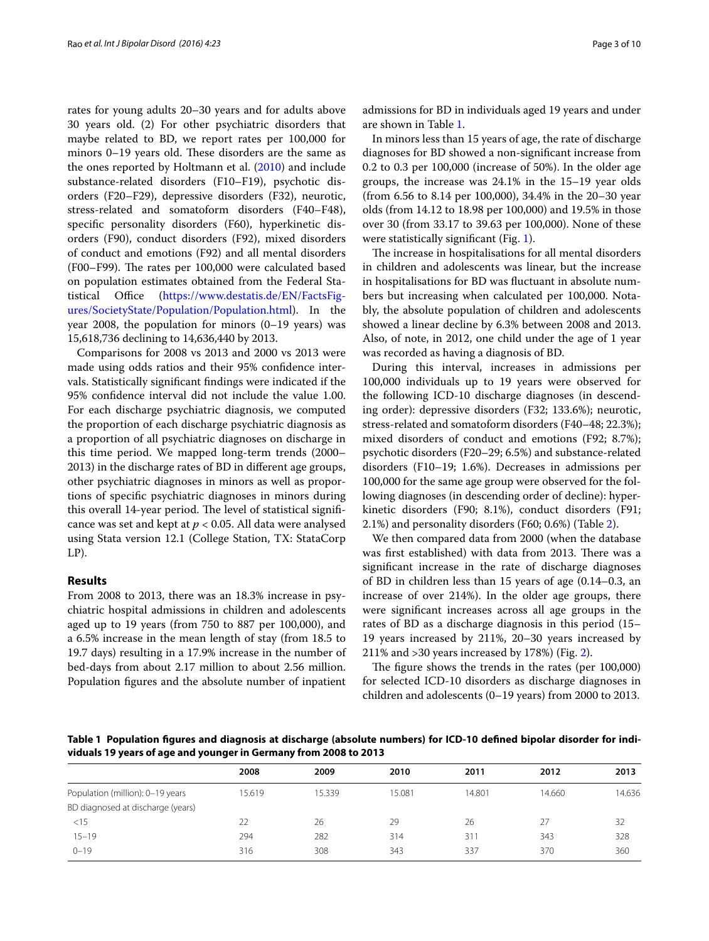rates for young adults 20–30 years and for adults above 30 years old. (2) For other psychiatric disorders that maybe related to BD, we report rates per 100,000 for minors 0–19 years old. These disorders are the same as the ones reported by Holtmann et al. ([2010](#page-8-0)) and include substance-related disorders (F10–F19), psychotic disorders (F20–F29), depressive disorders (F32), neurotic, stress-related and somatoform disorders (F40–F48), specific personality disorders (F60), hyperkinetic disorders (F90), conduct disorders (F92), mixed disorders of conduct and emotions (F92) and all mental disorders (F00–F99). The rates per 100,000 were calculated based on population estimates obtained from the Federal Statistical Office ([https://www.destatis.de/EN/FactsFig](https://www.destatis.de/EN/FactsFigures/SocietyState/Population/Population.html)[ures/SocietyState/Population/Population.html\)](https://www.destatis.de/EN/FactsFigures/SocietyState/Population/Population.html). In the year 2008, the population for minors  $(0-19$  years) was 15,618,736 declining to 14,636,440 by 2013.

Comparisons for 2008 vs 2013 and 2000 vs 2013 were made using odds ratios and their 95% confidence intervals. Statistically significant findings were indicated if the 95% confidence interval did not include the value 1.00. For each discharge psychiatric diagnosis, we computed the proportion of each discharge psychiatric diagnosis as a proportion of all psychiatric diagnoses on discharge in this time period. We mapped long-term trends (2000– 2013) in the discharge rates of BD in different age groups, other psychiatric diagnoses in minors as well as proportions of specific psychiatric diagnoses in minors during this overall 14-year period. The level of statistical significance was set and kept at *p* < 0.05. All data were analysed using Stata version 12.1 (College Station, TX: StataCorp LP).

## **Results**

From 2008 to 2013, there was an 18.3% increase in psychiatric hospital admissions in children and adolescents aged up to 19 years (from 750 to 887 per 100,000), and a 6.5% increase in the mean length of stay (from 18.5 to 19.7 days) resulting in a 17.9% increase in the number of bed-days from about 2.17 million to about 2.56 million. Population figures and the absolute number of inpatient admissions for BD in individuals aged 19 years and under are shown in Table [1.](#page-2-0)

In minors less than 15 years of age, the rate of discharge diagnoses for BD showed a non-significant increase from 0.2 to 0.3 per 100,000 (increase of 50%). In the older age groups, the increase was 24.1% in the 15–19 year olds (from 6.56 to 8.14 per 100,000), 34.4% in the 20–30 year olds (from 14.12 to 18.98 per 100,000) and 19.5% in those over 30 (from 33.17 to 39.63 per 100,000). None of these were statistically significant (Fig. [1](#page-3-0)).

The increase in hospitalisations for all mental disorders in children and adolescents was linear, but the increase in hospitalisations for BD was fluctuant in absolute numbers but increasing when calculated per 100,000. Notably, the absolute population of children and adolescents showed a linear decline by 6.3% between 2008 and 2013. Also, of note, in 2012, one child under the age of 1 year was recorded as having a diagnosis of BD.

During this interval, increases in admissions per 100,000 individuals up to 19 years were observed for the following ICD-10 discharge diagnoses (in descending order): depressive disorders (F32; 133.6%); neurotic, stress-related and somatoform disorders (F40–48; 22.3%); mixed disorders of conduct and emotions (F92; 8.7%); psychotic disorders (F20–29; 6.5%) and substance-related disorders (F10–19; 1.6%). Decreases in admissions per 100,000 for the same age group were observed for the following diagnoses (in descending order of decline): hyperkinetic disorders (F90; 8.1%), conduct disorders (F91; 2.1%) and personality disorders (F60; 0.6%) (Table [2\)](#page-4-0).

We then compared data from 2000 (when the database was first established) with data from 2013. There was a significant increase in the rate of discharge diagnoses of BD in children less than 15 years of age (0.14–0.3, an increase of over 214%). In the older age groups, there were significant increases across all age groups in the rates of BD as a discharge diagnosis in this period (15– 19 years increased by 211%, 20–30 years increased by 211% and >30 years increased by 178%) (Fig. [2\)](#page-5-0).

The figure shows the trends in the rates (per 100,000) for selected ICD-10 disorders as discharge diagnoses in children and adolescents (0–19 years) from 2000 to 2013.

<span id="page-2-0"></span>**Table 1 Population figures and diagnosis at discharge (absolute numbers) for ICD-10 defined bipolar disorder for individuals 19 years of age and younger in Germany from 2008 to 2013**

|                                   | 2008   | 2009   | 2010   | 2011            | 2012   | 2013   |
|-----------------------------------|--------|--------|--------|-----------------|--------|--------|
| Population (million): 0-19 years  | 15.619 | 15.339 | 15.081 | 14.801          | 14.660 | 14.636 |
| BD diagnosed at discharge (years) |        |        |        |                 |        |        |
| <15                               | 22     | 26     | 29     | 26              | 27     | 32     |
| $15 - 19$                         | 294    | 282    | 314    | 31 <sup>2</sup> | 343    | 328    |
| $0 - 19$                          | 316    | 308    | 343    | 337             | 370    | 360    |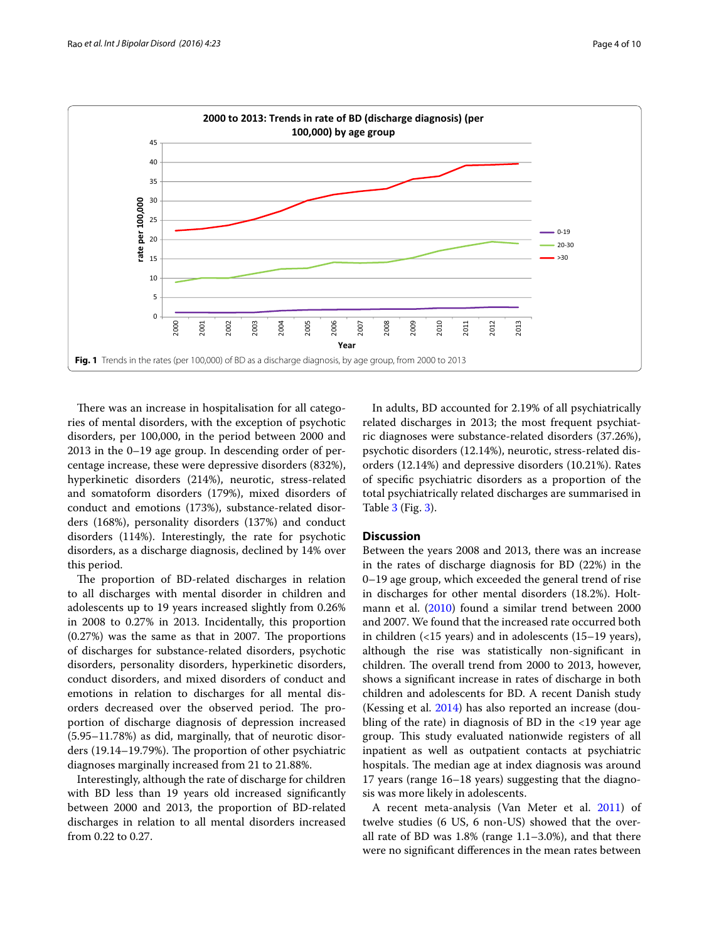

<span id="page-3-0"></span>There was an increase in hospitalisation for all categories of mental disorders, with the exception of psychotic disorders, per 100,000, in the period between 2000 and 2013 in the 0–19 age group. In descending order of percentage increase, these were depressive disorders (832%), hyperkinetic disorders (214%), neurotic, stress-related and somatoform disorders (179%), mixed disorders of conduct and emotions (173%), substance-related disorders (168%), personality disorders (137%) and conduct disorders (114%). Interestingly, the rate for psychotic disorders, as a discharge diagnosis, declined by 14% over this period.

The proportion of BD-related discharges in relation to all discharges with mental disorder in children and adolescents up to 19 years increased slightly from 0.26% in 2008 to 0.27% in 2013. Incidentally, this proportion (0.27%) was the same as that in 2007. The proportions of discharges for substance-related disorders, psychotic disorders, personality disorders, hyperkinetic disorders, conduct disorders, and mixed disorders of conduct and emotions in relation to discharges for all mental disorders decreased over the observed period. The proportion of discharge diagnosis of depression increased (5.95–11.78%) as did, marginally, that of neurotic disorders (19.14–19.79%). The proportion of other psychiatric diagnoses marginally increased from 21 to 21.88%.

Interestingly, although the rate of discharge for children with BD less than 19 years old increased significantly between 2000 and 2013, the proportion of BD-related discharges in relation to all mental disorders increased from 0.22 to 0.27.

In adults, BD accounted for 2.19% of all psychiatrically related discharges in 2013; the most frequent psychiatric diagnoses were substance-related disorders (37.26%), psychotic disorders (12.14%), neurotic, stress-related disorders (12.14%) and depressive disorders (10.21%). Rates of specific psychiatric disorders as a proportion of the total psychiatrically related discharges are summarised in Table [3](#page-5-1) (Fig. [3\)](#page-6-0).

## **Discussion**

Between the years 2008 and 2013, there was an increase in the rates of discharge diagnosis for BD (22%) in the 0–19 age group, which exceeded the general trend of rise in discharges for other mental disorders (18.2%). Holtmann et al. ([2010\)](#page-8-0) found a similar trend between 2000 and 2007. We found that the increased rate occurred both in children (<15 years) and in adolescents (15–19 years), although the rise was statistically non-significant in children. The overall trend from 2000 to 2013, however, shows a significant increase in rates of discharge in both children and adolescents for BD. A recent Danish study (Kessing et al. [2014](#page-8-13)) has also reported an increase (doubling of the rate) in diagnosis of BD in the <19 year age group. This study evaluated nationwide registers of all inpatient as well as outpatient contacts at psychiatric hospitals. The median age at index diagnosis was around 17 years (range 16–18 years) suggesting that the diagnosis was more likely in adolescents.

A recent meta-analysis (Van Meter et al. [2011\)](#page-9-2) of twelve studies (6 US, 6 non-US) showed that the overall rate of BD was 1.8% (range 1.1–3.0%), and that there were no significant differences in the mean rates between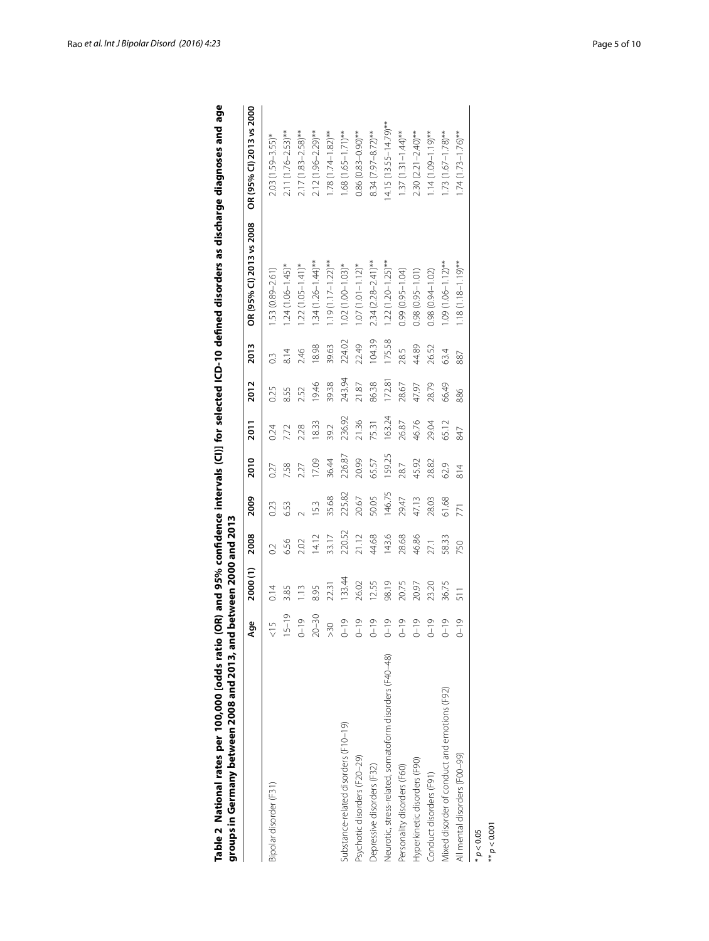<span id="page-4-0"></span>

|                                                         | Age            | 2000(1) | 2008   | 2009   | 2010            | 2011   | 2012   | 2013             | OR (95% CI) 2013 vs 2008 | OR (95% CI) 2013 vs 2000  |
|---------------------------------------------------------|----------------|---------|--------|--------|-----------------|--------|--------|------------------|--------------------------|---------------------------|
| Bipolar disorder (F31)                                  | $\frac{5}{10}$ | 0.14    |        | 0.23   | 0.27            | 0.24   | 0.25   | $0.\overline{3}$ | 1.53 (0.89-2.61)         | $2.03(1.59-3.55)$ *       |
|                                                         | $15 - 19$      | 3.85    | 6.56   | 6.53   | 7.58            | 7.72   | 8.55   | 8.14             | $1.24(1.06 - 1.45)*$     | $2.11(1.76 - 2.53)$ **    |
|                                                         | $0 - 19$       | 1.13    | 2.02   |        | 2.27            | 2.28   | 2.52   | 2.46             | $1.22(1.05 - 1.41)*$     | $2.17(1.83 - 2.58)$ **    |
|                                                         | $20 - 30$      | 8.95    | 14.12  | 15.3   | 17.09           | 18.33  | 19.46  | 18.98            | $.34(1.26 - 1.44)$ **    | $2.12(1.96 - 2.29)$ **    |
|                                                         | >30            | 22.31   | 33.17  | 35.68  | 36.44           | 39.2   | 39.38  | 39.63            | $1.19(1.17 - 1.22)$ **   | $1.78(1.74 - 1.82)$ **    |
| Substance-related disorders (F10-19)                    | $0 - 19$       | 133.44  | 220.52 | 225.82 | 226.87          | 236.92 | 243.94 | 224.02           | $1.02(1.00 - 1.03)*$     | $1.68(1.65 - 1.71)$ **    |
| Psychotic disorders (F20-29)                            | $0 - 19$       | 26.02   | 21.12  | 20.67  | 20.99           | 21.36  | 21.87  | 22.49            | $.07(1.01 - 1.12)^*$     | $0.86(0.83 - 0.90)$ **    |
| Depressive disorders (F32)                              | $0 - 19$       | 12.55   | 44.68  | 50.05  | 65.57           | 75.31  | 86.38  | 104.39           | $2.34(2.28-2.41)$ **     | $8.34(7.97 - 8.72)$ **    |
| Neurotic, stress-related, somatoform disorders (F40-48) | $0 - 19$       | 98.19   | 143.6  | 146.75 | 159.25          | 163.24 | 172.81 | 175.58           | $1.22(1.20 - 1.25)$ **   | $14.15(13.55 - 14.79)$ ** |
| Personality disorders (F60)                             | $0 - 19$       | 20.75   | 28.68  | 29.47  | 28.7            | 26.87  | 28.67  | 28.5             | 0.99 (0.95-1.04)         | $1.37(1.31 - 1.44)$ **    |
| Hyperkinetic disorders (F90)                            | $0 - 19$       | 20.97   | 46.86  | 47.13  | 45.92           | 46.76  | 47.97  | 44.89            | 0.98 (0.95-1.01)         | $2.30(2.21 - 2.40)$ **    |
| Conduct disorders (F91)                                 | $0 - 19$       | 23.20   | 27.1   | 28.03  | 28.82           | 29.04  | 28.79  | 26.52            | 0.98 (0.94-1.02)         | $1.14(0.1 - 0.0)$ **      |
| Mixed disorder of conduct and emotions (F92)            | $0 - 19$       | 36.75   | 58.33  | 61.68  | 62.9            | 65.12  | 66.49  | 63.4             | $.09(1.06 - 1.12)$ **    | $1.73(1.67 - 1.78)$ **    |
| All mental disorders (F00-99)                           | $0 - 19$       | 511     | 750    | 771    | $\frac{814}{5}$ | 847    | 886    | 887              | $1.18(1.18-1.19)$ **     | $1.74(1.73 - 1.76)$ **    |
| $* p < 0.05$                                            |                |         |        |        |                 |        |        |                  |                          |                           |
| P < 0.001                                               |                |         |        |        |                 |        |        |                  |                          |                           |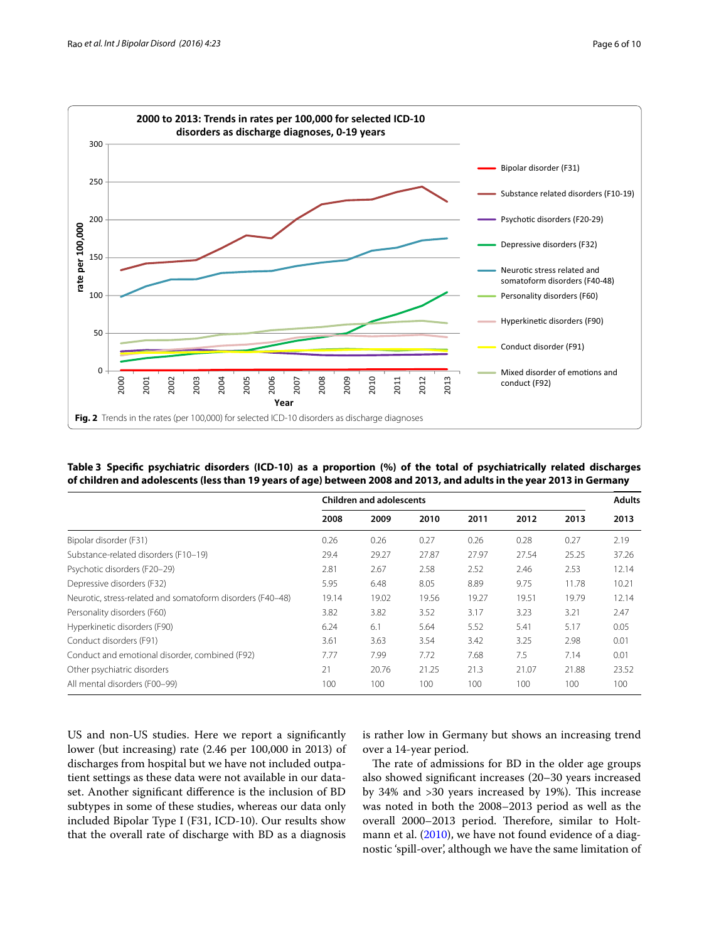

<span id="page-5-1"></span><span id="page-5-0"></span>

| Table 3 Specific psychiatric disorders (ICD-10) as a proportion (%) of the total of psychiatrically related discharges |  |
|------------------------------------------------------------------------------------------------------------------------|--|
| of children and adolescents (less than 19 years of age) between 2008 and 2013, and adults in the year 2013 in Germany  |  |

|                                                            |       | <b>Children and adolescents</b> |       |       |       |       | <b>Adults</b> |
|------------------------------------------------------------|-------|---------------------------------|-------|-------|-------|-------|---------------|
|                                                            | 2008  | 2009                            | 2010  | 2011  | 2012  | 2013  | 2013          |
| Bipolar disorder (F31)                                     | 0.26  | 0.26                            | 0.27  | 0.26  | 0.28  | 0.27  | 2.19          |
| Substance-related disorders (F10-19)                       | 29.4  | 29.27                           | 27.87 | 27.97 | 27.54 | 25.25 | 37.26         |
| Psychotic disorders (F20-29)                               | 2.81  | 2.67                            | 2.58  | 2.52  | 2.46  | 2.53  | 12.14         |
| Depressive disorders (F32)                                 | 5.95  | 6.48                            | 8.05  | 8.89  | 9.75  | 11.78 | 10.21         |
| Neurotic, stress-related and somatoform disorders (F40-48) | 19.14 | 19.02                           | 19.56 | 19.27 | 19.51 | 19.79 | 12.14         |
| Personality disorders (F60)                                | 3.82  | 3.82                            | 3.52  | 3.17  | 3.23  | 3.21  | 2.47          |
| Hyperkinetic disorders (F90)                               | 6.24  | 6.1                             | 5.64  | 5.52  | 5.41  | 5.17  | 0.05          |
| Conduct disorders (F91)                                    | 3.61  | 3.63                            | 3.54  | 3.42  | 3.25  | 2.98  | 0.01          |
| Conduct and emotional disorder, combined (F92)             | 7.77  | 7.99                            | 7.72  | 7.68  | 7.5   | 7.14  | 0.01          |
| Other psychiatric disorders                                | 21    | 20.76                           | 21.25 | 21.3  | 21.07 | 21.88 | 23.52         |
| All mental disorders (F00-99)                              | 100   | 100                             | 100   | 100   | 100   | 100   | 100           |

US and non-US studies. Here we report a significantly lower (but increasing) rate (2.46 per 100,000 in 2013) of discharges from hospital but we have not included outpatient settings as these data were not available in our dataset. Another significant difference is the inclusion of BD subtypes in some of these studies, whereas our data only included Bipolar Type I (F31, ICD-10). Our results show that the overall rate of discharge with BD as a diagnosis is rather low in Germany but shows an increasing trend over a 14-year period.

The rate of admissions for BD in the older age groups also showed significant increases (20–30 years increased by 34% and >30 years increased by 19%). This increase was noted in both the 2008–2013 period as well as the overall 2000–2013 period. Therefore, similar to Holt-mann et al. [\(2010\)](#page-8-0), we have not found evidence of a diagnostic 'spill-over', although we have the same limitation of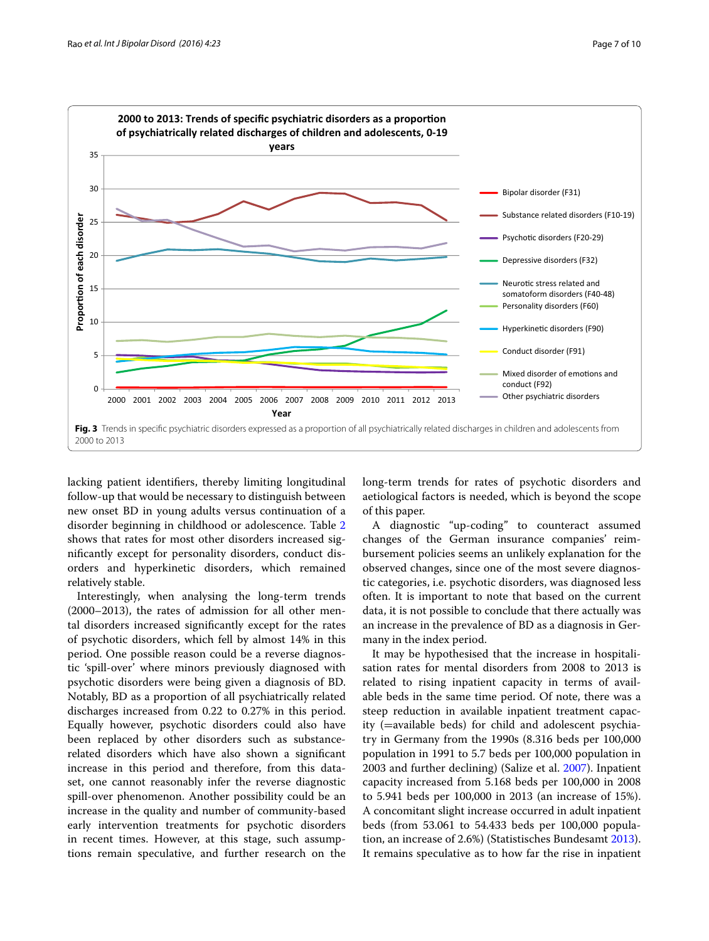

<span id="page-6-0"></span>lacking patient identifiers, thereby limiting longitudinal follow-up that would be necessary to distinguish between new onset BD in young adults versus continuation of a disorder beginning in childhood or adolescence. Table [2](#page-4-0) shows that rates for most other disorders increased significantly except for personality disorders, conduct disorders and hyperkinetic disorders, which remained relatively stable.

Interestingly, when analysing the long-term trends (2000–2013), the rates of admission for all other mental disorders increased significantly except for the rates of psychotic disorders, which fell by almost 14% in this period. One possible reason could be a reverse diagnostic 'spill-over' where minors previously diagnosed with psychotic disorders were being given a diagnosis of BD. Notably, BD as a proportion of all psychiatrically related discharges increased from 0.22 to 0.27% in this period. Equally however, psychotic disorders could also have been replaced by other disorders such as substancerelated disorders which have also shown a significant increase in this period and therefore, from this dataset, one cannot reasonably infer the reverse diagnostic spill-over phenomenon. Another possibility could be an increase in the quality and number of community-based early intervention treatments for psychotic disorders in recent times. However, at this stage, such assumptions remain speculative, and further research on the long-term trends for rates of psychotic disorders and aetiological factors is needed, which is beyond the scope of this paper.

A diagnostic "up-coding" to counteract assumed changes of the German insurance companies' reimbursement policies seems an unlikely explanation for the observed changes, since one of the most severe diagnostic categories, i.e. psychotic disorders, was diagnosed less often. It is important to note that based on the current data, it is not possible to conclude that there actually was an increase in the prevalence of BD as a diagnosis in Germany in the index period.

It may be hypothesised that the increase in hospitalisation rates for mental disorders from 2008 to 2013 is related to rising inpatient capacity in terms of available beds in the same time period. Of note, there was a steep reduction in available inpatient treatment capacity (=available beds) for child and adolescent psychiatry in Germany from the 1990s (8.316 beds per 100,000 population in 1991 to 5.7 beds per 100,000 population in 2003 and further declining) (Salize et al. [2007\)](#page-8-14). Inpatient capacity increased from 5.168 beds per 100,000 in 2008 to 5.941 beds per 100,000 in 2013 (an increase of 15%). A concomitant slight increase occurred in adult inpatient beds (from 53.061 to 54.433 beds per 100,000 population, an increase of 2.6%) (Statistisches Bundesamt [2013](#page-9-3)). It remains speculative as to how far the rise in inpatient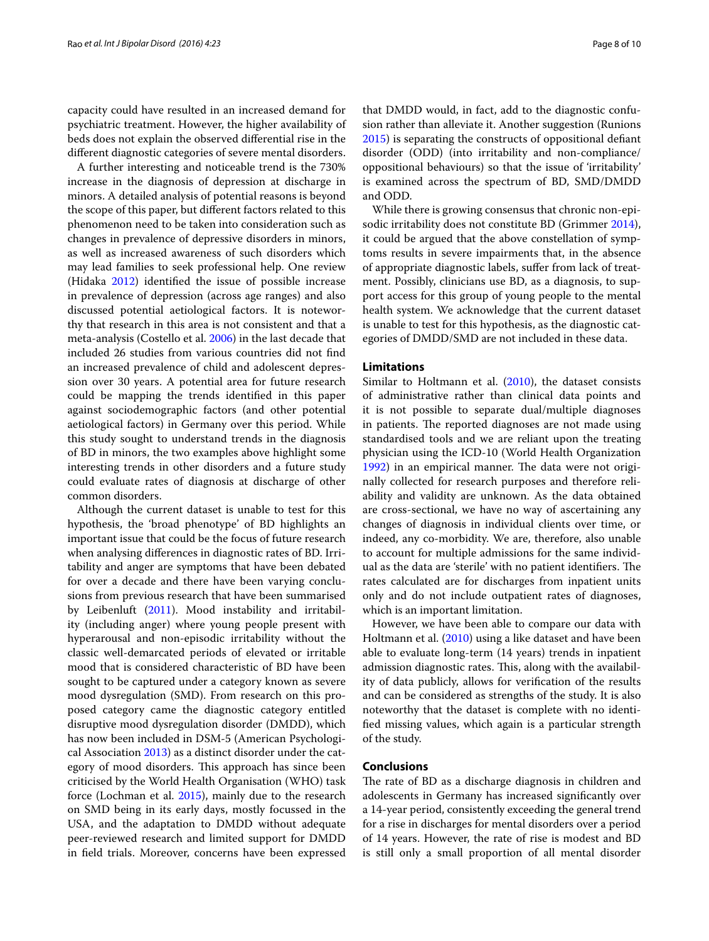capacity could have resulted in an increased demand for psychiatric treatment. However, the higher availability of beds does not explain the observed differential rise in the different diagnostic categories of severe mental disorders.

A further interesting and noticeable trend is the 730% increase in the diagnosis of depression at discharge in minors. A detailed analysis of potential reasons is beyond the scope of this paper, but different factors related to this phenomenon need to be taken into consideration such as changes in prevalence of depressive disorders in minors, as well as increased awareness of such disorders which may lead families to seek professional help. One review (Hidaka [2012](#page-8-15)) identified the issue of possible increase in prevalence of depression (across age ranges) and also discussed potential aetiological factors. It is noteworthy that research in this area is not consistent and that a meta-analysis (Costello et al. [2006](#page-8-16)) in the last decade that included 26 studies from various countries did not find an increased prevalence of child and adolescent depression over 30 years. A potential area for future research could be mapping the trends identified in this paper against sociodemographic factors (and other potential aetiological factors) in Germany over this period. While this study sought to understand trends in the diagnosis of BD in minors, the two examples above highlight some interesting trends in other disorders and a future study could evaluate rates of diagnosis at discharge of other common disorders.

Although the current dataset is unable to test for this hypothesis, the 'broad phenotype' of BD highlights an important issue that could be the focus of future research when analysing differences in diagnostic rates of BD. Irritability and anger are symptoms that have been debated for over a decade and there have been varying conclusions from previous research that have been summarised by Leibenluft ([2011](#page-8-17)). Mood instability and irritability (including anger) where young people present with hyperarousal and non-episodic irritability without the classic well-demarcated periods of elevated or irritable mood that is considered characteristic of BD have been sought to be captured under a category known as severe mood dysregulation (SMD). From research on this proposed category came the diagnostic category entitled disruptive mood dysregulation disorder (DMDD), which has now been included in DSM-5 (American Psychological Association [2013\)](#page-8-11) as a distinct disorder under the category of mood disorders. This approach has since been criticised by the World Health Organisation (WHO) task force (Lochman et al. [2015](#page-8-18)), mainly due to the research on SMD being in its early days, mostly focussed in the USA, and the adaptation to DMDD without adequate peer-reviewed research and limited support for DMDD in field trials. Moreover, concerns have been expressed that DMDD would, in fact, add to the diagnostic confusion rather than alleviate it. Another suggestion (Runions [2015](#page-8-19)) is separating the constructs of oppositional defiant disorder (ODD) (into irritability and non-compliance/ oppositional behaviours) so that the issue of 'irritability' is examined across the spectrum of BD, SMD/DMDD and ODD.

While there is growing consensus that chronic non-episodic irritability does not constitute BD (Grimmer [2014](#page-8-20)), it could be argued that the above constellation of symptoms results in severe impairments that, in the absence of appropriate diagnostic labels, suffer from lack of treatment. Possibly, clinicians use BD, as a diagnosis, to support access for this group of young people to the mental health system. We acknowledge that the current dataset is unable to test for this hypothesis, as the diagnostic categories of DMDD/SMD are not included in these data.

#### **Limitations**

Similar to Holtmann et al. [\(2010\)](#page-8-0), the dataset consists of administrative rather than clinical data points and it is not possible to separate dual/multiple diagnoses in patients. The reported diagnoses are not made using standardised tools and we are reliant upon the treating physician using the ICD-10 (World Health Organization [1992](#page-9-0)) in an empirical manner. The data were not originally collected for research purposes and therefore reliability and validity are unknown. As the data obtained are cross-sectional, we have no way of ascertaining any changes of diagnosis in individual clients over time, or indeed, any co-morbidity. We are, therefore, also unable to account for multiple admissions for the same individual as the data are 'sterile' with no patient identifiers. The rates calculated are for discharges from inpatient units only and do not include outpatient rates of diagnoses, which is an important limitation.

However, we have been able to compare our data with Holtmann et al. [\(2010](#page-8-0)) using a like dataset and have been able to evaluate long-term (14 years) trends in inpatient admission diagnostic rates. This, along with the availability of data publicly, allows for verification of the results and can be considered as strengths of the study. It is also noteworthy that the dataset is complete with no identified missing values, which again is a particular strength of the study.

## **Conclusions**

The rate of BD as a discharge diagnosis in children and adolescents in Germany has increased significantly over a 14-year period, consistently exceeding the general trend for a rise in discharges for mental disorders over a period of 14 years. However, the rate of rise is modest and BD is still only a small proportion of all mental disorder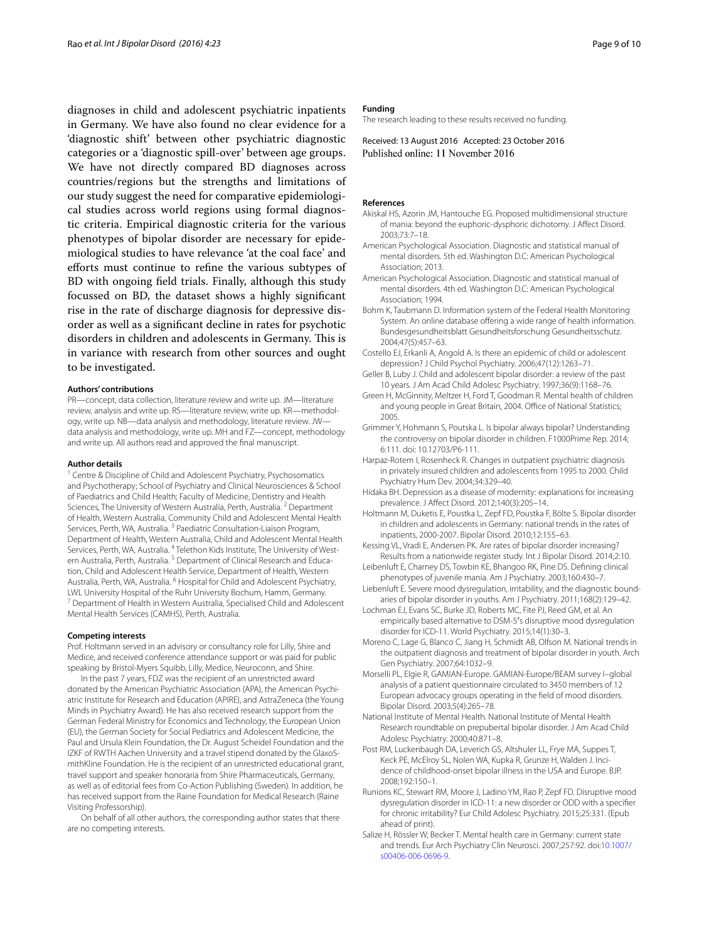diagnoses in child and adolescent psychiatric inpatients in Germany. We have also found no clear evidence for a 'diagnostic shift' between other psychiatric diagnostic categories or a 'diagnostic spill-over' between age groups. We have not directly compared BD diagnoses across countries/regions but the strengths and limitations of our study suggest the need for comparative epidemiological studies across world regions using formal diagnostic criteria. Empirical diagnostic criteria for the various phenotypes of bipolar disorder are necessary for epidemiological studies to have relevance 'at the coal face' and efforts must continue to refine the various subtypes of BD with ongoing field trials. Finally, although this study focussed on BD, the dataset shows a highly significant rise in the rate of discharge diagnosis for depressive disorder as well as a significant decline in rates for psychotic disorders in children and adolescents in Germany. This is in variance with research from other sources and ought to be investigated.

#### **Authors' contributions**

PR—concept, data collection, literature review and write up. JM—literature review, analysis and write up. RS—literature review, write up. KR—methodology, write up. NB—data analysis and methodology, literature review. JW data analysis and methodology, write up. MH and FZ—concept, methodology and write up. All authors read and approved the final manuscript.

#### **Author details**

<sup>1</sup> Centre & Discipline of Child and Adolescent Psychiatry, Psychosomatics and Psychotherapy; School of Psychiatry and Clinical Neurosciences & School of Paediatrics and Child Health; Faculty of Medicine, Dentistry and Health Sciences, The University of Western Australia, Perth, Australia. <sup>2</sup> Department of Health, Western Australia, Community Child and Adolescent Mental Health Services, Perth, WA, Australia.<sup>3</sup> Paediatric Consultation-Liaison Program, Department of Health, Western Australia, Child and Adolescent Mental Health Services, Perth, WA, Australia. <sup>4</sup> Telethon Kids Institute, The University of Western Australia, Perth, Australia.<sup>5</sup> Department of Clinical Research and Education, Child and Adolescent Health Service, Department of Health, Western Australia, Perth, WA, Australia. 6 Hospital for Child and Adolescent Psychiatry, LWL University Hospital of the Ruhr University Bochum, Hamm, Germany.<br><sup>7</sup> Department of Health in Western Australia, Specialised Child and Adolescent Mental Health Services (CAMHS), Perth, Australia.

#### **Competing interests**

Prof. Holtmann served in an advisory or consultancy role for Lilly, Shire and Medice, and received conference attendance support or was paid for public speaking by Bristol-Myers Squibb, Lilly, Medice, Neuroconn, and Shire.

In the past 7 years, FDZ was the recipient of an unrestricted award donated by the American Psychiatric Association (APA), the American Psychiatric Institute for Research and Education (APIRE), and AstraZeneca (the Young Minds in Psychiatry Award). He has also received research support from the German Federal Ministry for Economics and Technology, the European Union (EU), the German Society for Social Pediatrics and Adolescent Medicine, the Paul and Ursula Klein Foundation, the Dr. August Scheidel Foundation and the IZKF of RWTH Aachen University and a travel stipend donated by the GlaxoSmithKline Foundation. He is the recipient of an unrestricted educational grant, travel support and speaker honoraria from Shire Pharmaceuticals, Germany, as well as of editorial fees from Co-Action Publishing (Sweden). In addition, he has received support from the Raine Foundation for Medical Research (Raine Visiting Professorship).

On behalf of all other authors, the corresponding author states that there are no competing interests.

#### **Funding**

The research leading to these results received no funding.

Received: 13 August 2016 Accepted: 23 October 2016 Published online: 11 November 2016

#### **References**

- <span id="page-8-9"></span>Akiskal HS, Azorin JM, Hantouche EG. Proposed multidimensional structure of mania: beyond the euphoric-dysphoric dichotomy. J Affect Disord. 2003;73:7–18.
- <span id="page-8-11"></span>American Psychological Association. Diagnostic and statistical manual of mental disorders. 5th ed. Washington D.C: American Psychological Association; 2013.
- <span id="page-8-3"></span>American Psychological Association. Diagnostic and statistical manual of mental disorders. 4th ed. Washington D.C: American Psychological Association; 1994.
- <span id="page-8-12"></span>Bohm K, Taubmann D. Information system of the Federal Health Monitoring System. An online database offering a wide range of health information. Bundesgesundheitsblatt Gesundheitsforschung Gesundheitsschutz. 2004;47(5):457–63.
- <span id="page-8-16"></span>Costello EJ, Erkanli A, Angold A. Is there an epidemic of child or adolescent depression? J Child Psychol Psychiatry. 2006;47(12):1263–71.
- <span id="page-8-7"></span>Geller B, Luby J. Child and adolescent bipolar disorder: a review of the past 10 years. J Am Acad Child Adolesc Psychiatry. 1997;36(9):1168–76.
- <span id="page-8-4"></span>Green H, McGinnity, Meltzer H, Ford T, Goodman R. Mental health of children and young people in Great Britain, 2004. Office of National Statistics; 2005.
- <span id="page-8-20"></span>Grimmer Y, Hohmann S, Poutska L. Is bipolar always bipolar? Understanding the controversy on bipolar disorder in children. F1000Prime Rep. 2014; 6:111. doi: 10.12703/P6-111.
- <span id="page-8-1"></span>Harpaz-Rotem I, Rosenheck R. Changes in outpatient psychiatric diagnosis in privately insured children and adolescents from 1995 to 2000. Child Psychiatry Hum Dev. 2004;34:329–40.
- <span id="page-8-15"></span>Hidaka BH. Depression as a disease of modernity: explanations for increasing prevalence. J Affect Disord. 2012;140(3):205–14.
- <span id="page-8-0"></span>Holtmann M, Duketis E, Poustka L, Zepf FD, Poustka F, Bölte S. Bipolar disorder in children and adolescents in Germany: national trends in the rates of inpatients, 2000-2007. Bipolar Disord. 2010;12:155–63.
- <span id="page-8-13"></span>Kessing VL, Vradi E, Andersen PK. Are rates of bipolar disorder increasing? Results from a nationwide register study. Int J Bipolar Disord. 2014;2:10.
- <span id="page-8-8"></span>Leibenluft E, Charney DS, Towbin KE, Bhangoo RK, Pine DS. Defining clinical phenotypes of juvenile mania. Am J Psychiatry. 2003;160:430–7.
- <span id="page-8-17"></span>Liebenluft E. Severe mood dysregulation, irritability, and the diagnostic boundaries of bipolar disorder in youths. Am J Psychiatry. 2011;168(2):129–42.
- <span id="page-8-18"></span>Lochman EJ, Evans SC, Burke JD, Roberts MC, Fite PJ, Reed GM, et al. An empirically based alternative to DSM-5′s disruptive mood dysregulation disorder for ICD-11. World Psychiatry. 2015;14(1):30–3.
- <span id="page-8-2"></span>Moreno C, Lage G, Blanco C, Jiang H, Schmidt AB, Olfson M. National trends in the outpatient diagnosis and treatment of bipolar disorder in youth. Arch Gen Psychiatry. 2007;64:1032–9.
- <span id="page-8-6"></span>Morselli PL, Elgie R, GAMIAN-Europe. GAMIAN-Europe/BEAM survey I–global analysis of a patient questionnaire circulated to 3450 members of 12 European advocacy groups operating in the field of mood disorders. Bipolar Disord. 2003;5(4):265–78.
- <span id="page-8-10"></span>National Institute of Mental Health. National Institute of Mental Health Research roundtable on prepubertal bipolar disorder. J Am Acad Child Adolesc Psychiatry. 2000;40:871–8.
- <span id="page-8-5"></span>Post RM, Luckenbaugh DA, Leverich GS, Altshuler LL, Frye MA, Suppes T, Keck PE, McElroy SL, Nolen WA, Kupka R, Grunze H, Walden J. Incidence of childhood-onset bipolar illness in the USA and Europe. BJP. 2008;192:150–1.
- <span id="page-8-19"></span>Runions KC, Stewart RM, Moore J, Ladino YM, Rao P, Zepf FD. Disruptive mood dysregulation disorder in ICD-11: a new disorder or ODD with a specifier for chronic irritability? Eur Child Adolesc Psychiatry. 2015;25:331. (Epub ahead of print).
- <span id="page-8-14"></span>Salize H, Rössler W, Becker T. Mental health care in Germany: current state and trends. Eur Arch Psychiatry Clin Neurosci. 2007;257:92. doi:[10.1007/](http://dx.doi.org/10.1007/s00406-006-0696-9) [s00406-006-0696-9.](http://dx.doi.org/10.1007/s00406-006-0696-9)